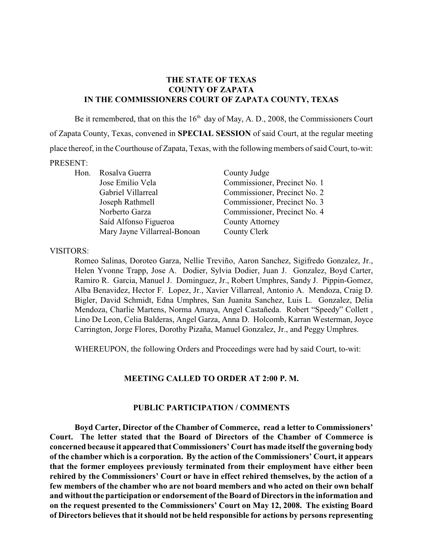## **THE STATE OF TEXAS COUNTY OF ZAPATA IN THE COMMISSIONERS COURT OF ZAPATA COUNTY, TEXAS**

Be it remembered, that on this the  $16<sup>th</sup>$  day of May, A. D., 2008, the Commissioners Court of Zapata County, Texas, convened in **SPECIAL SESSION** of said Court, at the regular meeting place thereof, in the Courthouse of Zapata, Texas, with the following members of said Court, to-wit: PRESENT:

Jose Emilio Vela Commissioner, Precinct No. 1 Gabriel Villarreal Commissioner, Precinct No. 2 Joseph Rathmell Commissioner, Precinct No. 3 Norberto Garza Commissioner, Precinct No. 4 Saíd Alfonso Figueroa County Attorney Mary Jayne Villarreal-Bonoan County Clerk

Hon. Rosalva Guerra County Judge

VISITORS:

Romeo Salinas, Doroteo Garza, Nellie Treviño, Aaron Sanchez, Sigifredo Gonzalez, Jr., Helen Yvonne Trapp, Jose A. Dodier, Sylvia Dodier, Juan J. Gonzalez, Boyd Carter, Ramiro R. Garcia, Manuel J. Dominguez, Jr., Robert Umphres, Sandy J. Pippin-Gomez, Alba Benavidez, Hector F. Lopez, Jr., Xavier Villarreal, Antonio A. Mendoza, Craig D. Bigler, David Schmidt, Edna Umphres, San Juanita Sanchez, Luis L. Gonzalez, Delia Mendoza, Charlie Martens, Norma Amaya, Angel Castañeda. Robert "Speedy" Collett , Lino De Leon, Celia Balderas, Angel Garza, Anna D. Holcomb, Karran Westerman, Joyce Carrington, Jorge Flores, Dorothy Pizaña, Manuel Gonzalez, Jr., and Peggy Umphres.

WHEREUPON, the following Orders and Proceedings were had by said Court, to-wit:

### **MEETING CALLED TO ORDER AT 2:00 P. M.**

### **PUBLIC PARTICIPATION / COMMENTS**

**Boyd Carter, Director of the Chamber of Commerce, read a letter to Commissioners' Court. The letter stated that the Board of Directors of the Chamber of Commerce is concerned because it appeared that Commissioners' Court has made itself the governing body of the chamber which is a corporation. By the action of the Commissioners' Court, it appears that the former employees previously terminated from their employment have either been rehired by the Commissioners' Court or have in effect rehired themselves, by the action of a few members of the chamber who are not board members and who acted on their own behalf and without the participation or endorsement of theBoard of Directors in the information and on the request presented to the Commissioners' Court on May 12, 2008. The existing Board of Directors believes that itshould not be held responsible for actions by persons representing**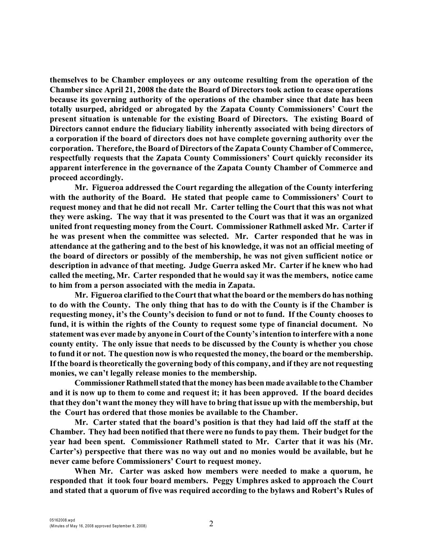**themselves to be Chamber employees or any outcome resulting from the operation of the Chamber since April 21, 2008 the date the Board of Directors took action to cease operations because its governing authority of the operations of the chamber since that date has been totally usurped, abridged or abrogated by the Zapata County Commissioners' Court the present situation is untenable for the existing Board of Directors. The existing Board of Directors cannot endure the fiduciary liability inherently associated with being directors of a corporation if the board of directors does not have complete governing authority over the corporation. Therefore, the Board of Directors of the Zapata County Chamber of Commerce, respectfully requests that the Zapata County Commissioners' Court quickly reconsider its apparent interference in the governance of the Zapata County Chamber of Commerce and proceed accordingly.** 

**Mr. Figueroa addressed the Court regarding the allegation of the County interfering with the authority of the Board. He stated that people came to Commissioners' Court to request money and that he did not recall Mr. Carter telling the Court that this was not what they were asking. The way that it was presented to the Court was that it was an organized united front requesting money from the Court. Commissioner Rathmell asked Mr. Carter if he was present when the committee was selected. Mr. Carter responded that he was in attendance at the gathering and to the best of his knowledge, it was not an official meeting of the board of directors or possibly of the membership, he was not given sufficient notice or description in advance of that meeting. Judge Guerra asked Mr. Carter if he knew who had called the meeting, Mr. Carter responded that he would say it wasthe members, notice came to him from a person associated with the media in Zapata.** 

**Mr. Figueroa clarified to the Court that whatthe board or the members do has nothing to do with the County. The only thing that has to do with the County is if the Chamber is requesting money, it's the County's decision to fund or not to fund. If the County chooses to fund, it is within the rights of the County to request some type of financial document. No statement was ever made by anyone in Court of the County's intention to interfere with a none county entity. The only issue that needs to be discussed by the County is whether you chose to fund it or not. The question now is who requested the money,the board or the membership. If the board is theoretically the governing body of this company, and if they are not requesting monies, we can't legally release monies to the membership.** 

**Commissioner Rathmell stated that the money has been made available to the Chamber and it is now up to them to come and request it; it has been approved. If the board decides that they don't want the money they will have to bring that issue up with the membership, but the Court has ordered that those monies be available to the Chamber.**

**Mr. Carter stated that the board's position is that they had laid off the staff at the Chamber. They had been notified that there were no fundsto pay them. Their budget for the year had been spent. Commissioner Rathmell stated to Mr. Carter that it was his (Mr. Carter's) perspective that there was no way out and no monies would be available, but he never came before Commissioners' Court to request money.** 

**When Mr. Carter was asked how members were needed to make a quorum, he responded that it took four board members. Peggy Umphres asked to approach the Court and stated that a quorum of five was required according to the bylaws and Robert's Rules of**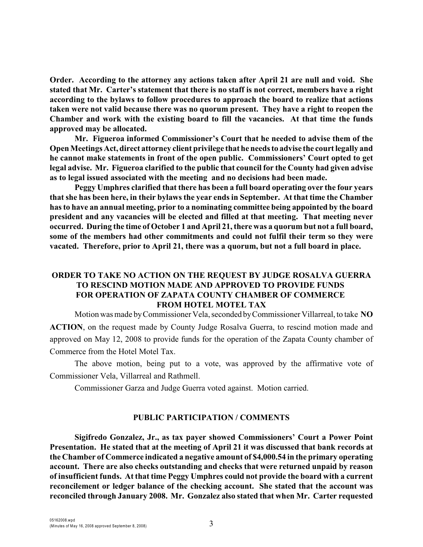**Order. According to the attorney any actions taken after April 21 are null and void. She stated that Mr. Carter's statement that there is no staff is not correct, members have a right according to the bylaws to follow procedures to approach the board to realize that actions taken were not valid because there was no quorum present. They have a right to reopen the Chamber and work with the existing board to fill the vacancies. At that time the funds approved may be allocated.** 

**Mr. Figueroa informed Commissioner's Court that he needed to advise them of the Open Meetings Act, direct attorney client privilege that he needs to advise the court legally and he cannot make statements in front of the open public. Commissioners' Court opted to get legal advise. Mr. Figueroa clarified to the public that council for the County had given advise as to legal issued associated with the meeting and no decisions had been made.** 

**Peggy Umphres clarified that there has been a full board operating over the four years that she has been here, in their bylaws the year ends in September. At that time the Chamber has to have an annual meeting, prior to a nominating committee being appointed by the board president and any vacancies will be elected and filled at that meeting. That meeting never occurred. During the time of October 1 and April 21, there was a quorum but not a full board, some of the members had other commitments and could not fulfil their term so they were vacated. Therefore, prior to April 21, there was a quorum, but not a full board in place.** 

# **ORDER TO TAKE NO ACTION ON THE REQUEST BY JUDGE ROSALVA GUERRA TO RESCIND MOTION MADE AND APPROVED TO PROVIDE FUNDS FOR OPERATION OF ZAPATA COUNTY CHAMBER OF COMMERCE FROM HOTEL MOTEL TAX**

Motion was made by Commissioner Vela, seconded by Commissioner Villarreal, to take **NO ACTION**, on the request made by County Judge Rosalva Guerra, to rescind motion made and approved on May 12, 2008 to provide funds for the operation of the Zapata County chamber of Commerce from the Hotel Motel Tax.

The above motion, being put to a vote, was approved by the affirmative vote of Commissioner Vela, Villarreal and Rathmell.

Commissioner Garza and Judge Guerra voted against. Motion carried.

### **PUBLIC PARTICIPATION / COMMENTS**

**Sigifredo Gonzalez, Jr., as tax payer showed Commissioners' Court a Power Point Presentation. He stated that at the meeting of April 21 it was discussed that bank records at the Chamber of Commerce indicated a negative amount of \$4,000.54 in the primary operating account. There are also checks outstanding and checks that were returned unpaid by reason of insufficient funds. At that time Peggy Umphres could not provide the board with a current reconcilement or ledger balance of the checking account. She stated that the account was reconciled through January 2008. Mr. Gonzalez also stated that when Mr. Carter requested**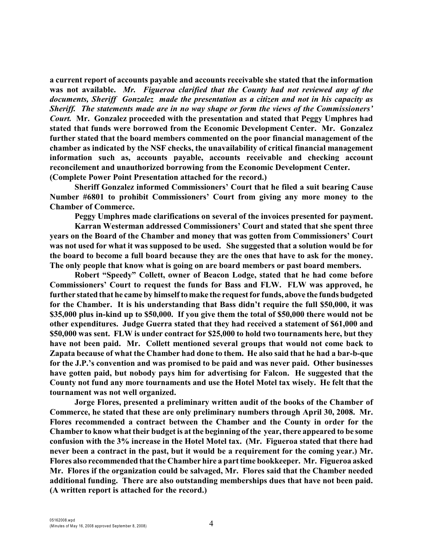**a current report of accounts payable and accounts receivable she stated that the information was not available.** *Mr. Figueroa clarified that the County had not reviewed any of the documents, Sheriff Gonzalez made the presentation as a citizen and not in his capacity as Sheriff. The statements made are in no way shape or form the views of the Commissioners' Court.* **Mr. Gonzalez proceeded with the presentation and stated that Peggy Umphres had stated that funds were borrowed from the Economic Development Center. Mr. Gonzalez further stated that the board members commented on the poor financial management of the chamber as indicated by the NSF checks, the unavailability of critical financial management information such as, accounts payable, accounts receivable and checking account reconcilement and unauthorized borrowing from the Economic Development Center. (Complete Power Point Presentation attached for the record.)**

**Sheriff Gonzalez informed Commissioners' Court that he filed a suit bearing Cause Number #6801 to prohibit Commissioners' Court from giving any more money to the Chamber of Commerce.** 

**Peggy Umphres made clarifications on several of the invoices presented for payment.**

**Karran Westerman addressed Commissioners' Court and stated that she spent three years on the Board of the Chamber and money that was gotten from Commissioners' Court was not used for what it was supposed to be used. She suggested that a solution would be for the board to become a full board because they are the ones that have to ask for the money. The only people that know what is going on are board members or past board members.**

**Robert "Speedy" Collett, owner of Beacon Lodge, stated that he had come before Commissioners' Court to request the funds for Bass and FLW. FLW was approved, he further stated that he came by himself to make the request for funds, above the funds budgeted for the Chamber. It is his understanding that Bass didn't require the full \$50,000, it was \$35,000 plus in-kind up to \$50,000. If you give them the total of \$50,000 there would not be other expenditures. Judge Guerra stated that they had received a statement of \$61,000 and \$50,000 was sent. FLW is under contract for \$25,000 to hold two tournaments here, but they have not been paid. Mr. Collett mentioned several groups that would not come back to Zapata because of what the Chamber had done to them. He also said that he had a bar-b-que for the J.P.'s convention and was promised to be paid and was never paid. Other businesses have gotten paid, but nobody pays him for advertising for Falcon. He suggested that the County not fund any more tournaments and use the Hotel Motel tax wisely. He felt that the tournament was not well organized.**

**Jorge Flores, presented a preliminary written audit of the books of the Chamber of Commerce, he stated that these are only preliminary numbers through April 30, 2008. Mr. Flores recommended a contract between the Chamber and the County in order for the Chamber to know what their budget is at the beginning of the year, there appeared to be some confusion with the 3% increase in the Hotel Motel tax. (Mr. Figueroa stated that there had never been a contract in the past, but it would be a requirement for the coming year.) Mr. Flores also recommended that the Chamber hire a part time bookkeeper. Mr. Figueroa asked Mr. Flores if the organization could be salvaged, Mr. Flores said that the Chamber needed additional funding. There are also outstanding memberships dues that have not been paid. (A written report is attached for the record.)**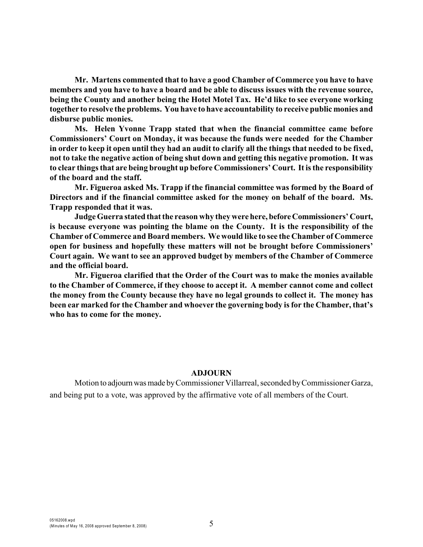**Mr. Martens commented that to have a good Chamber of Commerce you have to have members and you have to have a board and be able to discuss issues with the revenue source, being the County and another being the Hotel Motel Tax. He'd like to see everyone working together to resolve the problems. You have to have accountability to receive public monies and disburse public monies.**

**Ms. Helen Yvonne Trapp stated that when the financial committee came before Commissioners' Court on Monday, it was because the funds were needed for the Chamber in order to keep it open until they had an audit to clarify all the things that needed to be fixed, not to take the negative action of being shut down and getting this negative promotion. It was to clear things that are being brought up before Commissioners' Court. It is the responsibility of the board and the staff.**

**Mr. Figueroa asked Ms. Trapp if the financial committee was formed by the Board of Directors and if the financial committee asked for the money on behalf of the board. Ms. Trapp responded that it was.**

**Judge Guerra stated that the reason why they were here, before Commissioners' Court, is because everyone was pointing the blame on the County. It is the responsibility of the Chamber of Commerce and Board members. We would like to see the Chamber of Commerce open for business and hopefully these matters will not be brought before Commissioners' Court again. We want to see an approved budget by members of the Chamber of Commerce and the official board.**

**Mr. Figueroa clarified that the Order of the Court was to make the monies available to the Chamber of Commerce, if they choose to accept it. A member cannot come and collect the money from the County because they have no legal grounds to collect it. The money has been ear marked for the Chamber and whoever the governing body is for the Chamber, that's who has to come for the money.**

### **ADJOURN**

Motion to adjourn was made by Commissioner Villarreal, seconded by Commissioner Garza, and being put to a vote, was approved by the affirmative vote of all members of the Court.